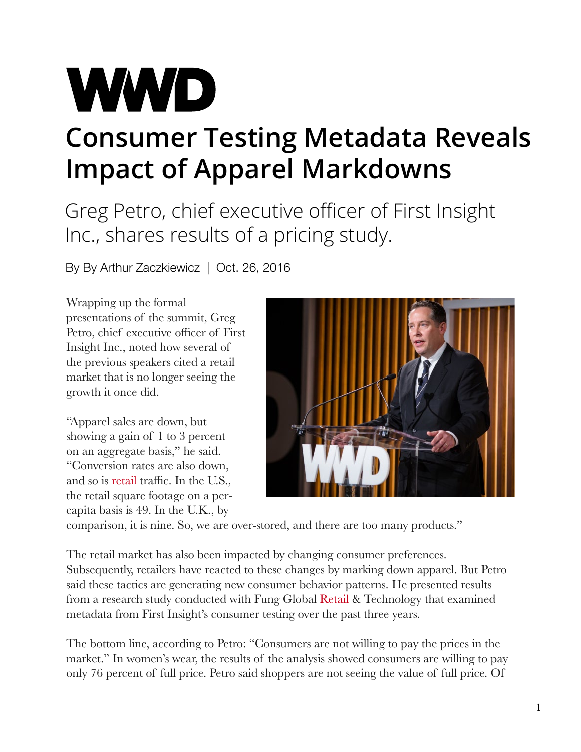## **WWD Consumer Testing Metadata Reveals Impact of Apparel Markdowns**

Greg Petro, chief executive officer of First Insight Inc., shares results of a pricing study.

By By Arthur Zaczkiewicz | Oct. 26, 2016

Wrapping up the formal presentations of the summit, Greg Petro, chief executive officer of First Insight Inc., noted how several of the previous speakers cited a retail market that is no longer seeing the growth it once did.

"Apparel sales are down, but showing a gain of 1 to 3 percent on an aggregate basis," he said. "Conversion rates are also down, and so is [retail](http://wwd.com/business-news/retail/westfield-rgas-start-ups-focus-on-ai-and-customer-engagement-10692070/) traffic. In the U.S., the retail square footage on a percapita basis is 49. In the U.K., by



comparison, it is nine. So, we are over-stored, and there are too many products."

The retail market has also been impacted by changing consumer preferences. Subsequently, retailers have reacted to these changes by marking down apparel. But Petro said these tactics are generating new consumer behavior patterns. He presented results from a research study conducted with Fung Global [Retail](http://wwd.com/tag/retail-2/#icn=wwd-hyperlink&ici=10691675_link1) & Technology that examined metadata from First Insight's consumer testing over the past three years.

The bottom line, according to Petro: "Consumers are not willing to pay the prices in the market." In women's wear, the results of the analysis showed consumers are willing to pay only 76 percent of full price. Petro said shoppers are not seeing the value of full price. Of